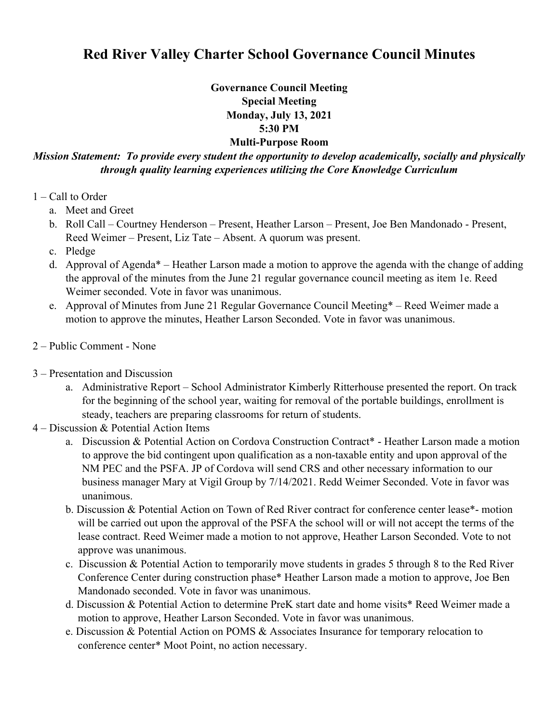## **Red River Valley Charter School Governance Council Minutes**

**Governance Council Meeting Special Meeting Monday, July 13, 2021 5:30 PM** 

## **Multi-Purpose Room**

*Mission Statement: To provide every student the opportunity to develop academically, socially and physically through quality learning experiences utilizing the Core Knowledge Curriculum* 

- 1 Call to Order
	- a. Meet and Greet
	- b. Roll Call Courtney Henderson Present, Heather Larson Present, Joe Ben Mandonado Present, Reed Weimer – Present, Liz Tate – Absent. A quorum was present.
	- c. Pledge
	- d. Approval of Agenda\* Heather Larson made a motion to approve the agenda with the change of adding the approval of the minutes from the June 21 regular governance council meeting as item 1e. Reed Weimer seconded. Vote in favor was unanimous.
	- e. Approval of Minutes from June 21 Regular Governance Council Meeting\* Reed Weimer made a motion to approve the minutes, Heather Larson Seconded. Vote in favor was unanimous.
- 2 Public Comment None
- 3 Presentation and Discussion
	- a. Administrative Report School Administrator Kimberly Ritterhouse presented the report. On track for the beginning of the school year, waiting for removal of the portable buildings, enrollment is steady, teachers are preparing classrooms for return of students.
- 4 Discussion & Potential Action Items
	- a. Discussion & Potential Action on Cordova Construction Contract\* Heather Larson made a motion to approve the bid contingent upon qualification as a non-taxable entity and upon approval of the NM PEC and the PSFA. JP of Cordova will send CRS and other necessary information to our business manager Mary at Vigil Group by 7/14/2021. Redd Weimer Seconded. Vote in favor was unanimous.
	- b. Discussion & Potential Action on Town of Red River contract for conference center lease\*- motion will be carried out upon the approval of the PSFA the school will or will not accept the terms of the lease contract. Reed Weimer made a motion to not approve, Heather Larson Seconded. Vote to not approve was unanimous.
	- c. Discussion & Potential Action to temporarily move students in grades 5 through 8 to the Red River Conference Center during construction phase\* Heather Larson made a motion to approve, Joe Ben Mandonado seconded. Vote in favor was unanimous.
	- d. Discussion & Potential Action to determine PreK start date and home visits\* Reed Weimer made a motion to approve, Heather Larson Seconded. Vote in favor was unanimous.
	- e. Discussion & Potential Action on POMS & Associates Insurance for temporary relocation to conference center\* Moot Point, no action necessary.